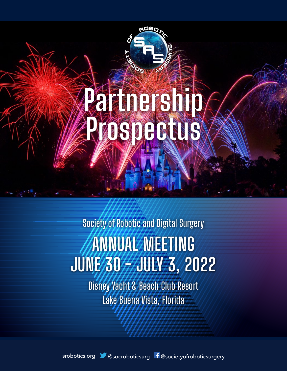# Partnership DSDG REIS

ADBC

# ANNUAL MEETING JUNE 30 77 JULY 3, 2022 Society of Robotic and Digital Surgery

Disney Yacht & Beach Club Resort Lake Buena Vista, Florida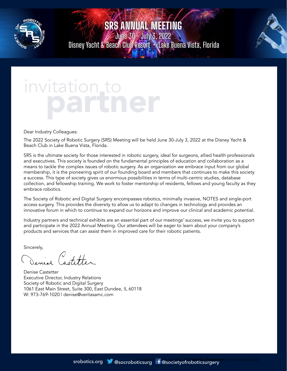

June 30 - July 3, 2022 Disney Yacht & Beach Club Resort • Lake Buena Vista, Florida



# invitatio

Dear Industry Colleagues:

The 2022 Society of Robotic Surgery (SRS) Meeting will be held June 30-July 3, 2022 at the Disney Yacht & Beach Club in Lake Buena Vista, Florida.

SRS is the ultimate society for those interested in robotic surgery, ideal for surgeons, allied health professionals and executives. This society is founded on the fundamental principles of education and collaboration as a means to tackle the complex issues of robotic surgery. As an organization we embrace input from our global membership, it is the pioneering spirit of our founding board and members that continues to make this society a success. This type of society gives us enormous possibilities in terms of multi-centric studies, database collection, and fellowship training. We work to foster mentorship of residents, fellows and young faculty as they embrace robotics.

The Society of Robotic and Digital Surgery encompasses robotics, minimally invasive, NOTES and single-port access surgery. This provides the diversity to allow us to adapt to changes in technology and provides an innovative forum in which to continue to expand our horizons and improve our clinical and academic potential.

Industry partners and technical exhibits are an essential part of our meetings' success, we invite you to support and participate in the 2022 Annual Meeting. Our attendees will be eager to learn about your company's products and services that can assist them in improved care for their robotic patients.

Sincerely,

 $\sqrt{2}$  $\mathcal{C}$  ot the

Denise Castetter Executive Director, Industry Relations Society of Robotic and Digital Surgery 1061 East Main Street, Suite 300, East Dundee, IL 60118 W: 973-769-1020 | denise@veritasamc.com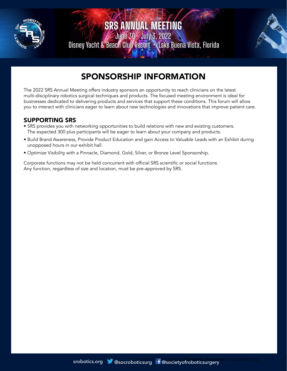

June 30 - July 3, 2022 Disney Yacht & Beach Club Resort • Lake Buena Vista, Florida



# SPONSORSHIP INFORMATION

The 2022 SRS Annual Meeting offers industry sponsors an opportunity to reach clinicians on the latest multi-disciplinary robotics surgical techniques and products. The focused meeting environment is ideal for businesses dedicated to delivering products and services that support these conditions. This forum will allow you to interact with clinicians eager to learn about new technologies and innovations that improve patient care.

#### SUPPORTING SRS

- SRS provides you with networking opportunities to build relations with new and existing customers. The expected 300 plus participants will be eager to learn about your company and products.
- Build Brand Awareness, Provide Product Education and gain Access to Valuable Leads with an Exhibit during unopposed hours in our exhibit hall.
- Optimize Visibility with a Pinnacle, Diamond, Gold, Silver, or Bronze Level Sponsorship.

Corporate functions may not be held concurrent with official SRS scientific or social functions. Any function, regardless of size and location, must be pre-approved by SRS.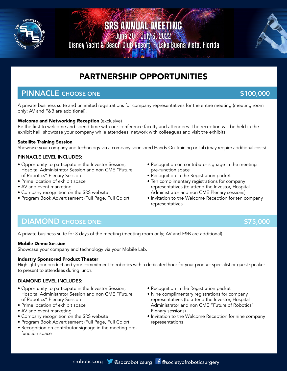

June 30 - July 3, 2022 Disney Yacht & Beach Club Resort • Lake Buena Vista, Florida



## PINNACLE CHOOSE ONE **\$100,000** \$100,000

A private business suite and unlimited registrations for company representatives for the entire meeting (meeting room only; AV and F&B are additional).

#### Welcome and Networking Reception (exclusive)

Be the first to welcome and spend time with our conference faculty and attendees. The reception will be held in the exhibit hall, showcase your company while attendees' network with colleagues and visit the exhibits.

#### Satellite Training Session

Showcase your company and technology via a company sponsored Hands-On Training or Lab (may require additional costs).

#### PINNACLE LEVEL INCLUDES:

- Opportunity to participate in the Investor Session, Hospital Administrator Session and non CME "Future of Robotics" Plenary Session
- Prime location of exhibit space
- AV and event marketing
- Company recognition on the SRS website
- Program Book Advertisement (Full Page, Full Color)
- Recognition on contributor signage in the meeting pre-function space
- Recognition in the Registration packet
- Ten complimentary registrations for company representatives (to attend the Investor, Hospital Administrator and non CME Plenary sessions)
- Invitation to the Welcome Reception for ten company representatives

## DIAMOND CHOOSE ONE: \$75,000

A private business suite for 3 days of the meeting (meeting room only; AV and F&B are additional).

#### Mobile Demo Session

Showcase your company and technology via your Mobile Lab.

#### Industry Sponsored Product Theater

Highlight your product and your commitment to robotics with a dedicated hour for your product specialist or guest speaker to present to attendees during lunch.

#### DIAMOND LEVEL INCLUDES:

- Opportunity to participate in the Investor Session, Hospital Administrator Session and non CME "Future of Robotics" Plenary Session
- Prime location of exhibit space
- AV and event marketing
- Company recognition on the SRS website
- Program Book Advertisement (Full Page, Full Color)
- Recognition on contributor signage in the meeting prefunction space
- Recognition in the Registration packet
- Nine complimentary registrations for company representatives (to attend the Investor, Hospital Administrator and non CME "Future of Robotics" Plenary sessions)
- Invitation to the Welcome Reception for nine company representations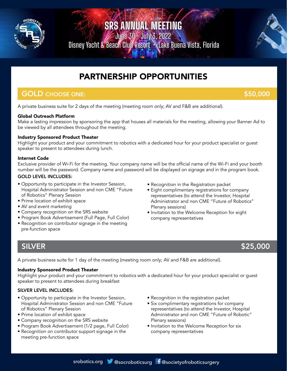

June 30 - July 3, 2022 Disney Yacht & Beach Club Resort • Lake Buena Vista, Florida



# PARTNERSHIP OPPORTUNITIES

### **GOLD** CHOOSE ONE: \$50,000

A private business suite for 2 days of the meeting (meeting room only; AV and F&B are additional).

#### Global Outreach Platform

Make a lasting impression by sponsoring the app that houses all materials for the meeting, allowing your Banner Ad to be viewed by all attendees throughout the meeting.

#### Industry Sponsored Product Theater

Highlight your product and your commitment to robotics with a dedicated hour for your product specialist or guest speaker to present to attendees during lunch.

#### Internet Code

Exclusive provider of Wi-Fi for the meeting. Your company name will be the official name of the Wi-Fi and your booth number will be the password. Company name and password will be displayed on signage and in the program book.

#### GOLD LEVEL INCLUDES:

- Opportunity to participate in the Investor Session, Hospital Administrator Session and non CME "Future of Robotics" Plenary Session
- Prime location of exhibit space
- AV and event marketing
- Company recognition on the SRS website
- Program Book Advertisement (Full Page, Full Color)
- Recognition on contributor signage in the meeting pre-function space
- Recognition in the Registration packet
- Eight complimentary registrations for company representatives (to attend the Investor, Hospital Administrator and non CME "Future of Robotics" Plenary sessions)
- Invitation to the Welcome Reception for eight company representatives

## SILVER \$25,000

A private business suite for 1 day of the meeting (meeting room only; AV and F&B are additional).

#### Industry Sponsored Product Theater

Highlight your product and your commitment to robotics with a dedicated hour for your product specialist or guest speaker to present to attendees during breakfast

#### SILVER LEVEL INCLUDES:

- Opportunity to participate in the Investor Session, Hospital Administrator Session and non CME "Future of Robotics" Plenary Session
- Prime location of exhibit space
- Company recognition on the SRS website
- Program Book Advertisement (1/2 page, Full Color)
- Recognition on contributor support signage in the meeting pre-function space
- Recognition in the registration packet
- Six complimentary registrations for company representatives (to attend the Investor, Hospital Administrator and non CME "Future of Robotic" Plenary sessions)
- Invitation to the Welcome Reception for six company representatives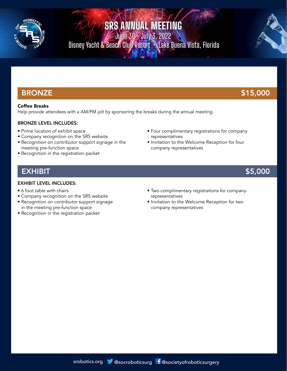

June 30 - July 3, 2022 Disney Yacht & Beach Club Resort • Lake Buena Vista, Florida



#### Coffee Breaks

Help provide attendees with a AM/PM jolt by sponsoring the breaks during the annual meeting.

#### BRONZE LEVEL INCLUDES:

- Prime location of exhibit space
- Company recognition on the SRS website
- Recognition on contributor support signage in the meeting pre-function space
- Recognition in the registration packet

company representatives

representatives

## EXHIBIT \$5,000

#### EXHIBIT LEVEL INCLUDES:

- 6 foot table with chairs
- Company recognition on the SRS website
- Recognition on contributor support signage in the meeting pre-function space
- Recognition in the registration packet

• Two complimentary registrations for company representatives

• Four complimentary registrations for company

• Invitation to the Welcome Reception for four

• Invitation to the Welcome Reception for two company representatives